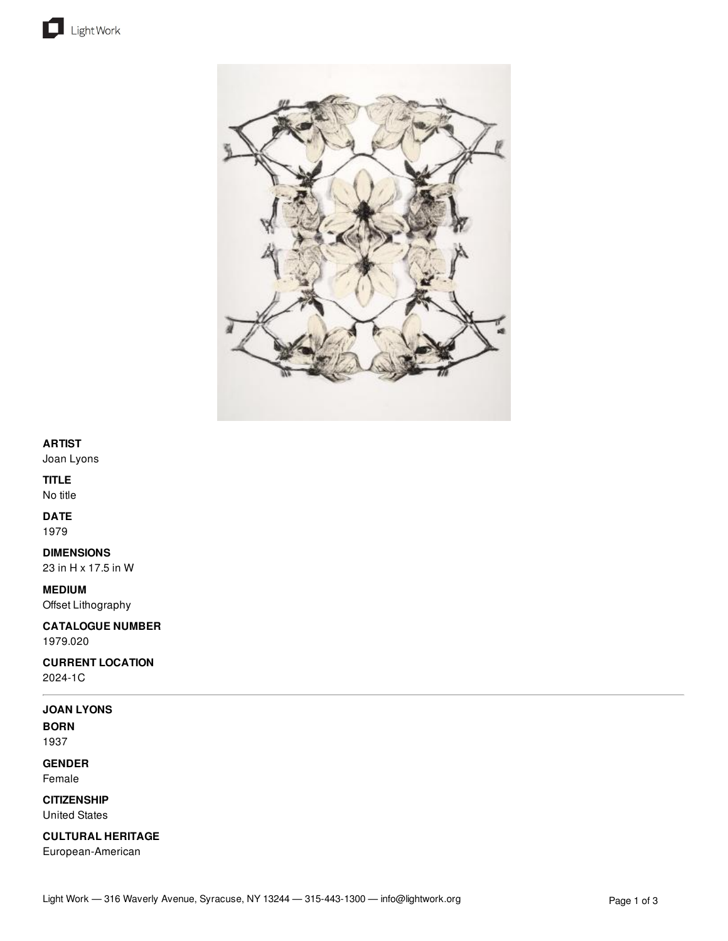



### **ARTIST**

Joan Lyons

### **TITLE**

No title

## **DATE**

1979

## **DIMENSIONS**

23 in H x 17.5 in W

## **MEDIUM**

Offset Lithography

## **CATALOGUE NUMBER** 1979.020

# **CURRENT LOCATION**

2024-1C

#### **JOAN LYONS**

**BORN** 1937

# **GENDER**

Female

### **CITIZENSHIP** United States

**CULTURAL HERITAGE**

European-American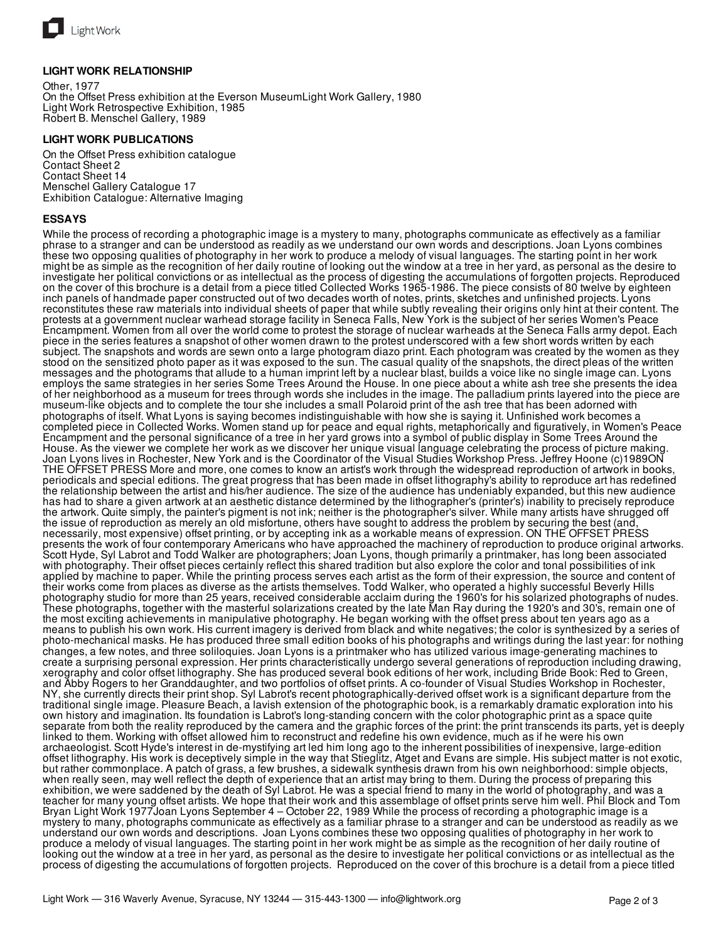

#### **LIGHT WORK RELATIONSHIP**

Other, 1977 On the Offset Press exhibition at the Everson MuseumLight Work Gallery, 1980 Light Work Retrospective Exhibition, 1985 Robert B. Menschel Gallery, 1989

#### **LIGHT WORK PUBLICATIONS**

On the Offset Press exhibition catalogue Contact Sheet 2 Contact Sheet 14 Menschel Gallery Catalogue 17 Exhibition Catalogue: Alternative Imaging

#### **ESSAYS**

While the process of recording a photographic image is a mystery to many, photographs communicate as effectively as a familiar phrase to a stranger and can be understood as readily as we understand our own words and descriptions. Joan Lyons combines these two opposing qualities of photography in her work to produce a melody of visual languages. The starting point in her work might be as simple as the recognition of her daily routine of looking out the window at a tree in her yard, as personal as the desire to investigate her political convictions or as intellectual as the process of digesting the accumulations of forgotten projects. Reproduced on the cover of this brochure is a detail from a piece titled Collected Works 1965-1986. The piece consists of 80 twelve by eighteen inch panels of handmade paper constructed out of two decades worth of notes, prints, sketches and unfinished projects. Lyons reconstitutes these raw materials into individual sheets of paper that while subtly revealing their origins only hint at their content. The protests at a government nuclear warhead storage facility in Seneca Falls, New York is the subject of her series Women's Peace Encampment. Women from all over the world come to protest the storage of nuclear warheads at the Seneca Falls army depot. Each piece in the series features a snapshot of other women drawn to the protest underscored with a few short words written by each subject. The snapshots and words are sewn onto a large photogram diazo print. Each photogram was created by the women as they stood on the sensitized photo paper as it was exposed to the sun. The casual quality of the snapshots, the direct pleas of the written messages and the photograms that allude to a human imprint left by a nuclear blast, builds a voice like no single image can. Lyons employs the same strategies in her series Some Trees Around the House. In one piece about a white ash tree she presents the idea of her neighborhood as a museum for trees through words she includes in the image. The palladium prints layered into the piece are museum-like objects and to complete the tour she includes a small Polaroid print of the ash tree that has been adorned with photographs of itself. What Lyons is saying becomes indistinguishable with how she is saying it. Unfinished work becomes a completed piece in Collected Works. Women stand up for peace and equal rights, metaphorically and figuratively, in Women's Peace Encampment and the personal significance of a tree in her yard grows into a symbol of public display in Some Trees Around the House. As the viewer we complete her work as we discover her unique visual language celebrating the process of picture making. Joan Lyons lives in Rochester, New York and is the Coordinator of the Visual Studies Workshop Press. Jeffrey Hoone (c)1989ON THE OFFSET PRESS More and more, one comes to know an artist's work through the widespread reproduction of artwork in books, periodicals and special editions. The great progress that has been made in offset lithography's ability to reproduce art has redefined the relationship between the artist and his/her audience. The size of the audience has undeniably expanded, but this new audience has had to share a given artwork at an aesthetic distance determined by the lithographer's (printer's) inability to precisely reproduce the artwork. Quite simply, the painter's pigment is not ink; neither is the photographer's silver. While many artists have shrugged off the issue of reproduction as merely an old misfortune, others have sought to address the problem by securing the best (and necessarily, most expensive) offset printing, or by accepting ink as a workable means of expression. ON THE OFFSET PRESS presents the work of four contemporary Americans who have approached the machinery of reproduction to produce original artworks. Scott Hyde, Syl Labrot and Todd Walker are photographers; Joan Lyons, though primarily a printmaker, has long been associated with photography. Their offset pieces certainly reflect this shared tradition but also explore the color and tonal possibilities of ink applied by machine to paper. While the printing process serves each artist as the form of their expression, the source and content of their works come from places as diverse as the artists themselves. Todd Walker, who operated a highly successful Beverly Hills photography studio for more than 25 years, received considerable acclaim during the 1960's for his solarized photographs of nudes. These photographs, together with the masterful solarizations created by the late Man Ray during the 1920's and 30's, remain one of the most exciting achievements in manipulative photography. He began working with the offset press about ten years ago as a means to publish his own work. His current imagery is derived from black and white negatives; the color is synthesized by a series of photo-mechanical masks. He has produced three small edition books of his photographs and writings during the last year: for nothing changes, a few notes, and three soliloquies. Joan Lyons is a printmaker who has utilized various image-generating machines to create a surprising personal expression. Her prints characteristically undergo several generations of reproduction including drawing, xerography and color offset lithography. She has produced several book editions of her work, including Bride Book: Red to Green, and Abby Rogers to her Granddaughter, and two portfolios of offset prints. A co-founder of Visual Studies Workshop in Rochester, NY, she currently directs their print shop. Syl Labrot's recent photographically-derived offset work is a significant departure from the traditional single image. Pleasure Beach, a lavish extension of the photographic book, is a remarkably dramatic exploration into his own history and imagination. Its foundation is Labrot's long-standing concern with the color photographic print as a space quite separate from both the reality reproduced by the camera and the graphic forces of the print: the print transcends its parts, yet is deeply linked to them. Working with offset allowed him to reconstruct and redefine his own evidence, much as if he were his own archaeologist. Scott Hyde's interest in de-mystifying art led him long ago to the inherent possibilities of inexpensive, large-edition offset lithography. His work is deceptively simple in the way that Stieglitz, Atget and Evans are simple. His subject matter is not exotic, but rather commonplace. A patch of grass, a few brushes, a sidewalk synthesis drawn from his own neighborhood: simple objects, when really seen, may well reflect the depth of experience that an artist may bring to them. During the process of preparing this exhibition, we were saddened by the death of Syl Labrot. He was a special friend to many in the world of photography, and was a teacher for many young offset artists. We hope that their work and this assemblage of offset prints serve him well. Phil Block and Tom Bryan Light Work 1977Joan Lyons September 4 – October 22, 1989 While the process of recording a photographic image is a mystery to many, photographs communicate as effectively as a familiar phrase to a stranger and can be understood as readily as we understand our own words and descriptions. Joan Lyons combines these two opposing qualities of photography in her work to produce a melody of visual languages. The starting point in her work might be as simple as the recognition of her daily routine of looking out the window at a tree in her yard, as personal as the desire to investigate her political convictions or as intellectual as the process of digesting the accumulations of forgotten projects. Reproduced on the cover of this brochure is a detail from a piece titled